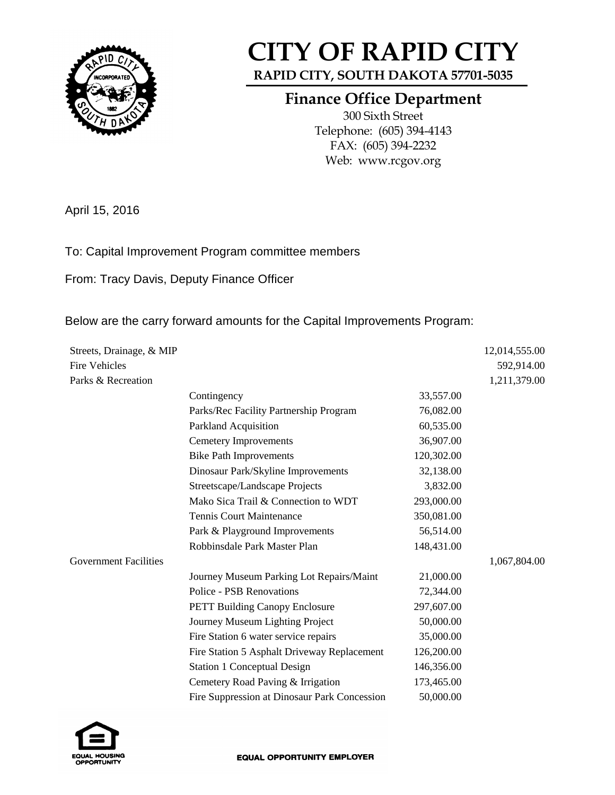

## **CITY OF RAPID CITY**

**RAPID CITY, SOUTH DAKOTA 57701-5035**

## **Finance Office Department**

300 Sixth Street Telephone: (605) 394-4143 FAX: (605) 394-2232 Web: www.rcgov.org

April 15, 2016

## To: Capital Improvement Program committee members

From: Tracy Davis, Deputy Finance Officer

## Below are the carry forward amounts for the Capital Improvements Program:

| Streets, Drainage, & MIP     |                                              |            | 12,014,555.00 |
|------------------------------|----------------------------------------------|------------|---------------|
| <b>Fire Vehicles</b>         |                                              |            | 592,914.00    |
| Parks & Recreation           |                                              |            | 1,211,379.00  |
|                              | Contingency                                  | 33,557.00  |               |
|                              | Parks/Rec Facility Partnership Program       | 76,082.00  |               |
|                              | Parkland Acquisition                         | 60,535.00  |               |
|                              | <b>Cemetery Improvements</b>                 | 36,907.00  |               |
|                              | <b>Bike Path Improvements</b>                | 120,302.00 |               |
|                              | Dinosaur Park/Skyline Improvements           | 32,138.00  |               |
|                              | Streetscape/Landscape Projects               | 3,832.00   |               |
|                              | Mako Sica Trail & Connection to WDT          | 293,000.00 |               |
|                              | <b>Tennis Court Maintenance</b>              | 350,081.00 |               |
|                              | Park & Playground Improvements               | 56,514.00  |               |
|                              | Robbinsdale Park Master Plan                 | 148,431.00 |               |
| <b>Government Facilities</b> |                                              |            | 1,067,804.00  |
|                              | Journey Museum Parking Lot Repairs/Maint     | 21,000.00  |               |
|                              | <b>Police - PSB Renovations</b>              | 72,344.00  |               |
|                              | <b>PETT Building Canopy Enclosure</b>        | 297,607.00 |               |
|                              | Journey Museum Lighting Project              | 50,000.00  |               |
|                              | Fire Station 6 water service repairs         | 35,000.00  |               |
|                              | Fire Station 5 Asphalt Driveway Replacement  | 126,200.00 |               |
|                              | <b>Station 1 Conceptual Design</b>           | 146,356.00 |               |
|                              | Cemetery Road Paving & Irrigation            | 173,465.00 |               |
|                              | Fire Suppression at Dinosaur Park Concession | 50,000.00  |               |